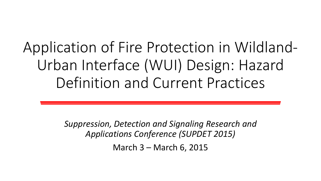### Application of Fire Protection in Wildland-Urban Interface (WUI) Design: Hazard Definition and Current Practices

*Suppression, Detection and Signaling Research and Applications Conference (SUPDET 2015)*

March 3 – March 6, 2015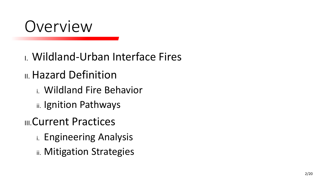

- I. Wildland-Urban Interface Fires
- III. Hazard Definition
	- i. Wildland Fire Behavior
	- ii. Ignition Pathways
- **III.Current Practices** 
	- i. Engineering Analysis
	- ii. Mitigation Strategies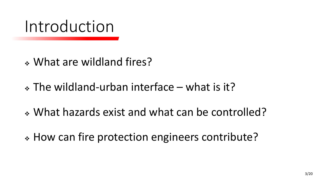### Introduction

- What are wildland fires?
- The wildland-urban interface what is it?
- What hazards exist and what can be controlled?
- How can fire protection engineers contribute?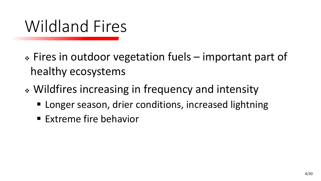### Wildland Fires

- Fires in outdoor vegetation fuels important part of healthy ecosystems
- Wildfires increasing in frequency and intensity
	- **E** Longer season, drier conditions, increased lightning
	- **Extreme fire behavior**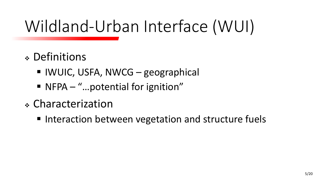# Wildland-Urban Interface (WUI)

- Definitions
	- IWUIC, USFA, NWCG geographical
	- NFPA "...potential for ignition"
- Characterization
	- Interaction between vegetation and structure fuels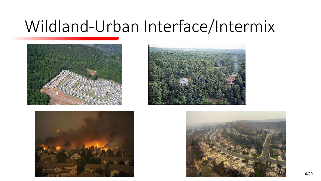### Wildland-Urban Interface/Intermix







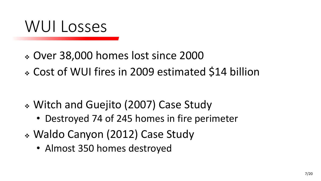### WUI Losses

- Over 38,000 homes lost since 2000
- Cost of WUI fires in 2009 estimated \$14 billion

- Witch and Guejito (2007) Case Study
	- Destroyed 74 of 245 homes in fire perimeter
- Waldo Canyon (2012) Case Study
	- Almost 350 homes destroyed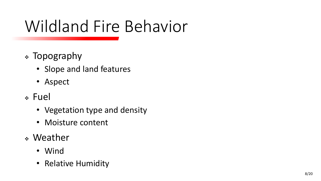### Wildland Fire Behavior

- Topography
	- Slope and land features
	- Aspect
- Fuel
	- Vegetation type and density
	- Moisture content
- Weather
	- Wind
	- Relative Humidity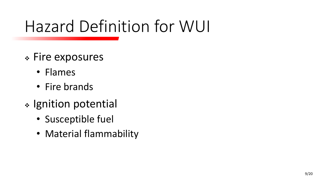### Hazard Definition for WUI

- Fire exposures
	- Flames
	- Fire brands
- \* Ignition potential
	- Susceptible fuel
	- Material flammability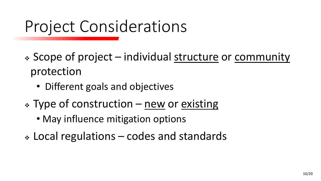### Project Considerations

- Scope of project individual structure or community protection
	- Different goals and objectives
- $\cdot$  Type of construction new or existing
	- May influence mitigation options
- Local regulations codes and standards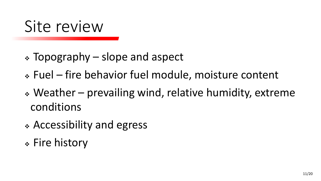### Site review

- Topography slope and aspect
- Fuel fire behavior fuel module, moisture content
- Weather prevailing wind, relative humidity, extreme conditions
- Accessibility and egress
- Fire history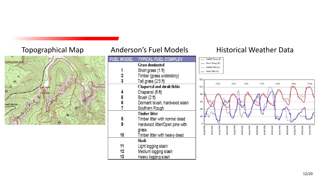

### Topographical Map Anderson's Fuel Models Historical Weather Data



- RAWS Temp (F) - Finch Temp (F)

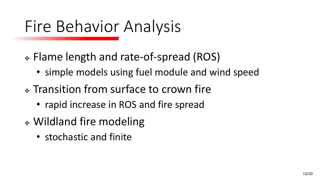### Fire Behavior Analysis

- Flame length and rate-of-spread (ROS)
	- simple models using fuel module and wind speed
- Transition from surface to crown fire
	- rapid increase in ROS and fire spread
- Wildland fire modeling
	- stochastic and finite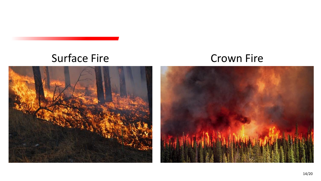### Surface Fire Crown Fire

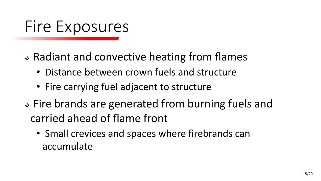### Fire Exposures

- Radiant and convective heating from flames
	- Distance between crown fuels and structure
	- Fire carrying fuel adjacent to structure
- Fire brands are generated from burning fuels and carried ahead of flame front
	- Small crevices and spaces where firebrands can accumulate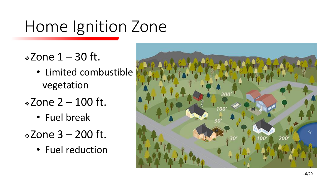### Home Ignition Zone

- $\frac{1}{2}$ Zone 1 30 ft.
	- Limited combustible vegetation
- $\frac{1}{2}$ Zone 2 100 ft.
	- Fuel break
- $\div$ Zone 3 200 ft.
	- Fuel reduction

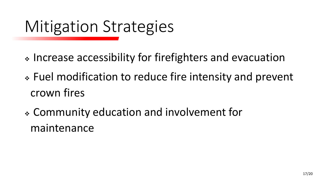## Mitigation Strategies

- \* Increase accessibility for firefighters and evacuation
- Fuel modification to reduce fire intensity and prevent crown fires
- Community education and involvement for maintenance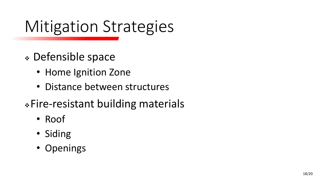# Mitigation Strategies

- Defensible space
	- Home Ignition Zone
	- Distance between structures
- Fire-resistant building materials
	- Roof
	- Siding
	- Openings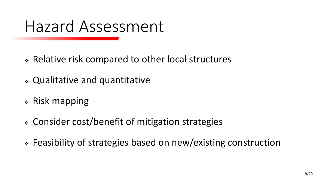### Hazard Assessment

- Relative risk compared to other local structures
- Qualitative and quantitative
- Risk mapping
- Consider cost/benefit of mitigation strategies
- Feasibility of strategies based on new/existing construction